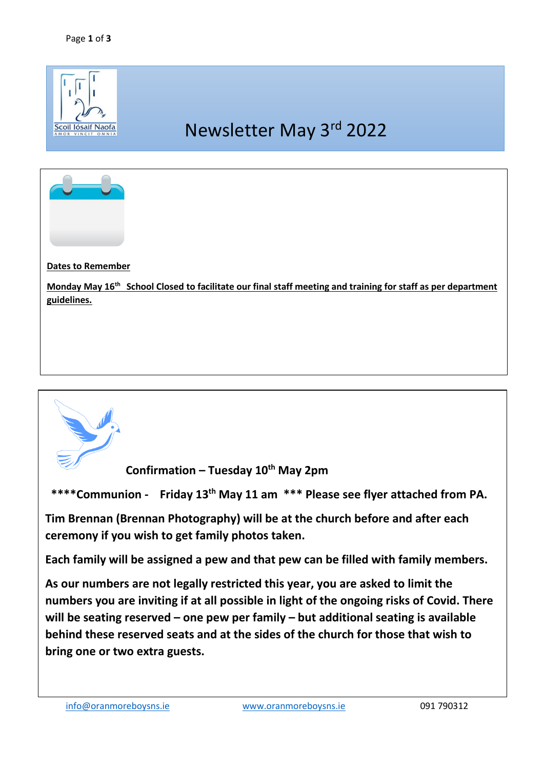

## **Dates to Remember**

**Monday May 16th School Closed to facilitate our final staff meeting and training for staff as per department guidelines.** 



**Confirmation – Tuesday 10th May 2pm** 

 **\*\*\*\*Communion - Friday 13th May 11 am \*\*\* Please see flyer attached from PA.** 

**Tim Brennan (Brennan Photography) will be at the church before and after each ceremony if you wish to get family photos taken.**

**Each family will be assigned a pew and that pew can be filled with family members.** 

**As our numbers are not legally restricted this year, you are asked to limit the numbers you are inviting if at all possible in light of the ongoing risks of Covid. There will be seating reserved – one pew per family – but additional seating is available behind these reserved seats and at the sides of the church for those that wish to bring one or two extra guests.**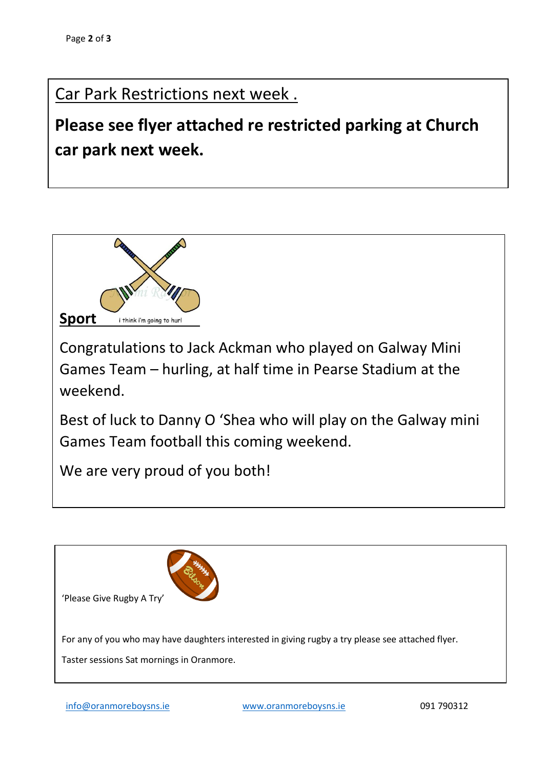## Car Park Restrictions next week .

**Please see flyer attached re restricted parking at Church car park next week.** 



Congratulations to Jack Ackman who played on Galway Mini Games Team – hurling, at half time in Pearse Stadium at the weekend.

Best of luck to Danny O 'Shea who will play on the Galway mini Games Team football this coming weekend.

We are very proud of you both!